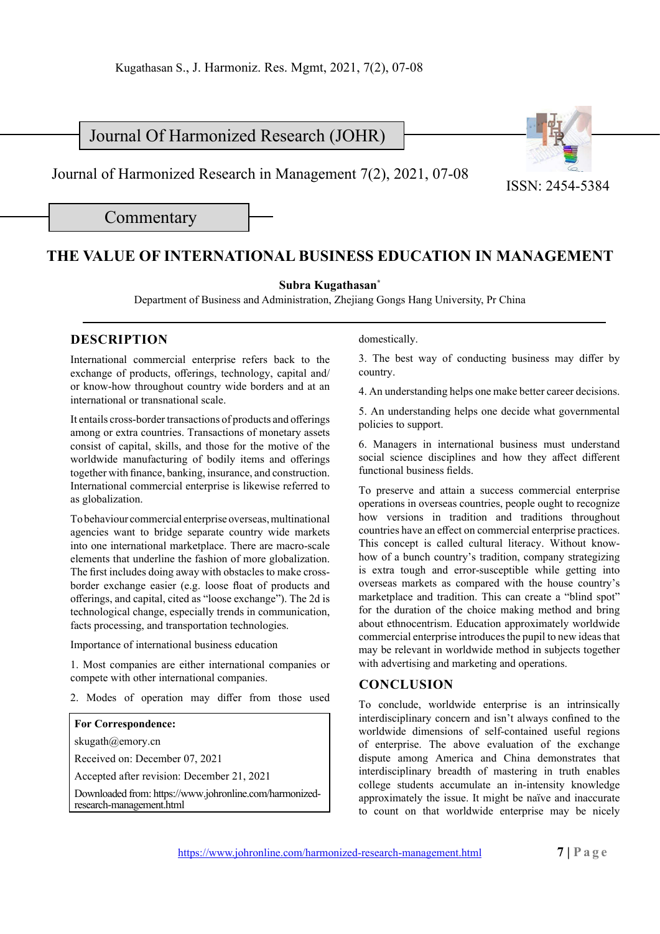# Journal Of Harmonized Research (JOHR)

Journal of Harmonized Research in Management 7(2), 2021, 07-08 <br>ISSN: 2454-5384

Commentary

## **THE VALUE OF INTERNATIONAL BUSINESS EDUCATION IN MANAGEMENT**

#### **Subra Kugathasan\***

Department of Business and Administration, Zhejiang Gongs Hang University, Pr China

### **DESCRIPTION**

International commercial enterprise refers back to the exchange of products, offerings, technology, capital and/ or know-how throughout country wide borders and at an international or transnational scale.

It entails cross-border transactions of products and offerings among or extra countries. Transactions of monetary assets consist of capital, skills, and those for the motive of the worldwide manufacturing of bodily items and offerings together with finance, banking, insurance, and construction. International commercial enterprise is likewise referred to as globalization.

To behaviour commercial enterprise overseas, multinational agencies want to bridge separate country wide markets into one international marketplace. There are macro-scale elements that underline the fashion of more globalization. The first includes doing away with obstacles to make crossborder exchange easier (e.g. loose float of products and offerings, and capital, cited as "loose exchange"). The 2d is technological change, especially trends in communication, facts processing, and transportation technologies.

Importance of international business education

1. Most companies are either international companies or compete with other international companies.

2. Modes of operation may differ from those used

#### **For Correspondence:**

skugath@emory.cn

Received on: December 07, 2021

Accepted after revision: December 21, 2021

Downloaded from: https://www.johronline.com/harmonizedresearch-management.html

domestically.

3. The best way of conducting business may differ by country.

4. An understanding helps one make better career decisions.

5. An understanding helps one decide what governmental policies to support.

6. Managers in international business must understand social science disciplines and how they affect different functional business fields.

To preserve and attain a success commercial enterprise operations in overseas countries, people ought to recognize how versions in tradition and traditions throughout countries have an effect on commercial enterprise practices. This concept is called cultural literacy. Without knowhow of a bunch country's tradition, company strategizing is extra tough and error-susceptible while getting into overseas markets as compared with the house country's marketplace and tradition. This can create a "blind spot" for the duration of the choice making method and bring about ethnocentrism. Education approximately worldwide commercial enterprise introduces the pupil to new ideas that may be relevant in worldwide method in subjects together with advertising and marketing and operations.

### **CONCLUSION**

To conclude, worldwide enterprise is an intrinsically interdisciplinary concern and isn't always confined to the worldwide dimensions of self-contained useful regions of enterprise. The above evaluation of the exchange dispute among America and China demonstrates that interdisciplinary breadth of mastering in truth enables college students accumulate an in-intensity knowledge approximately the issue. It might be naïve and inaccurate to count on that worldwide enterprise may be nicely

https://www.johronline.com/harmonized-research-management.html **7 | Page**